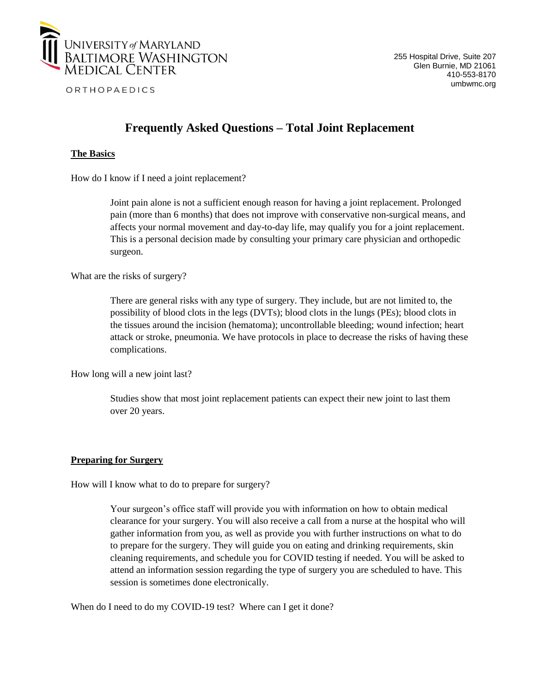

# **Frequently Asked Questions – Total Joint Replacement**

## **The Basics**

How do I know if I need a joint replacement?

Joint pain alone is not a sufficient enough reason for having a joint replacement. Prolonged pain (more than 6 months) that does not improve with conservative non-surgical means, and affects your normal movement and day-to-day life, may qualify you for a joint replacement. This is a personal decision made by consulting your primary care physician and orthopedic surgeon.

What are the risks of surgery?

There are general risks with any type of surgery. They include, but are not limited to, the possibility of blood clots in the legs (DVTs); blood clots in the lungs (PEs); blood clots in the tissues around the incision (hematoma); uncontrollable bleeding; wound infection; heart attack or stroke, pneumonia. We have protocols in place to decrease the risks of having these complications.

How long will a new joint last?

Studies show that most joint replacement patients can expect their new joint to last them over 20 years.

### **Preparing for Surgery**

How will I know what to do to prepare for surgery?

Your surgeon's office staff will provide you with information on how to obtain medical clearance for your surgery. You will also receive a call from a nurse at the hospital who will gather information from you, as well as provide you with further instructions on what to do to prepare for the surgery. They will guide you on eating and drinking requirements, skin cleaning requirements, and schedule you for COVID testing if needed. You will be asked to attend an information session regarding the type of surgery you are scheduled to have. This session is sometimes done electronically.

When do I need to do my COVID-19 test? Where can I get it done?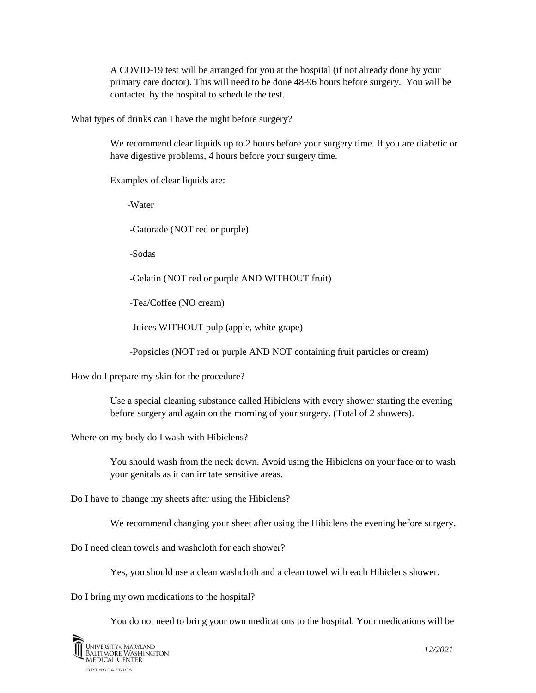A COVID-19 test will be arranged for you at the hospital (if not already done by your primary care doctor). This will need to be done 48-96 hours before surgery. You will be contacted by the hospital to schedule the test.

What types of drinks can I have the night before surgery?

We recommend clear liquids up to 2 hours before your surgery time. If you are diabetic or have digestive problems, 4 hours before your surgery time.

Examples of clear liquids are:

-Water

-Gatorade (NOT red or purple)

-Sodas

-Gelatin (NOT red or purple AND WITHOUT fruit)

-Tea/Coffee (NO cream)

-Juices WITHOUT pulp (apple, white grape)

-Popsicles (NOT red or purple AND NOT containing fruit particles or cream)

How do I prepare my skin for the procedure?

Use a special cleaning substance called Hibiclens with every shower starting the evening before surgery and again on the morning of your surgery. (Total of 2 showers).

Where on my body do I wash with Hibiclens?

You should wash from the neck down. Avoid using the Hibiclens on your face or to wash your genitals as it can irritate sensitive areas.

Do I have to change my sheets after using the Hibiclens?

We recommend changing your sheet after using the Hibiclens the evening before surgery.

Do I need clean towels and washcloth for each shower?

Yes, you should use a clean washcloth and a clean towel with each Hibiclens shower.

Do I bring my own medications to the hospital?

You do not need to bring your own medications to the hospital. Your medications will be

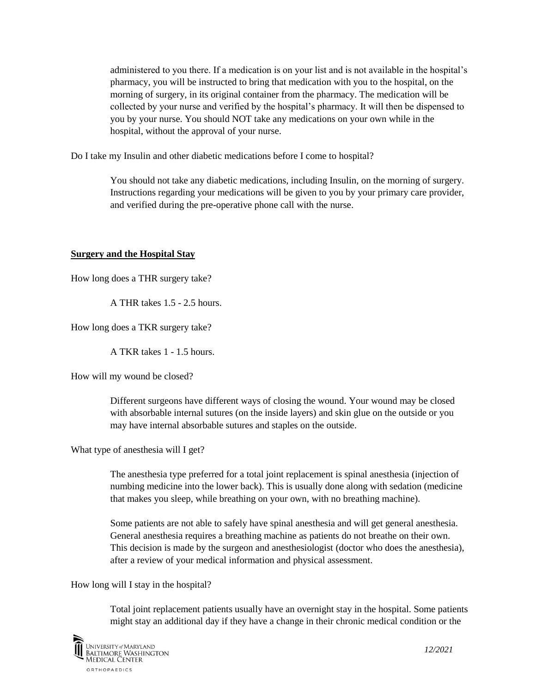administered to you there. If a medication is on your list and is not available in the hospital's pharmacy, you will be instructed to bring that medication with you to the hospital, on the morning of surgery, in its original container from the pharmacy. The medication will be collected by your nurse and verified by the hospital's pharmacy. It will then be dispensed to you by your nurse. You should NOT take any medications on your own while in the hospital, without the approval of your nurse.

Do I take my Insulin and other diabetic medications before I come to hospital?

You should not take any diabetic medications, including Insulin, on the morning of surgery. Instructions regarding your medications will be given to you by your primary care provider, and verified during the pre-operative phone call with the nurse.

### **Surgery and the Hospital Stay**

How long does a THR surgery take?

A THR takes 1.5 - 2.5 hours.

How long does a TKR surgery take?

A TKR takes 1 - 1.5 hours.

How will my wound be closed?

Different surgeons have different ways of closing the wound. Your wound may be closed with absorbable internal sutures (on the inside layers) and skin glue on the outside or you may have internal absorbable sutures and staples on the outside.

What type of anesthesia will I get?

The anesthesia type preferred for a total joint replacement is spinal anesthesia (injection of numbing medicine into the lower back). This is usually done along with sedation (medicine that makes you sleep, while breathing on your own, with no breathing machine).

Some patients are not able to safely have spinal anesthesia and will get general anesthesia. General anesthesia requires a breathing machine as patients do not breathe on their own. This decision is made by the surgeon and anesthesiologist (doctor who does the anesthesia), after a review of your medical information and physical assessment.

How long will I stay in the hospital?

Total joint replacement patients usually have an overnight stay in the hospital. Some patients might stay an additional day if they have a change in their chronic medical condition or the

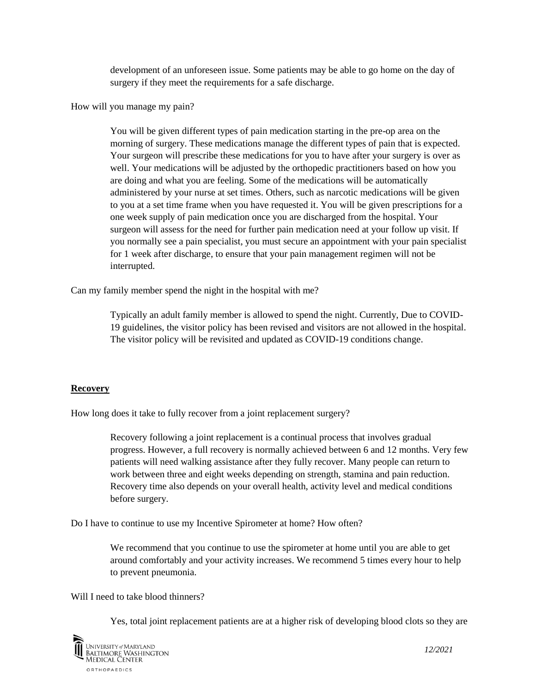development of an unforeseen issue. Some patients may be able to go home on the day of surgery if they meet the requirements for a safe discharge.

How will you manage my pain?

You will be given different types of pain medication starting in the pre-op area on the morning of surgery. These medications manage the different types of pain that is expected. Your surgeon will prescribe these medications for you to have after your surgery is over as well. Your medications will be adjusted by the orthopedic practitioners based on how you are doing and what you are feeling. Some of the medications will be automatically administered by your nurse at set times. Others, such as narcotic medications will be given to you at a set time frame when you have requested it. You will be given prescriptions for a one week supply of pain medication once you are discharged from the hospital. Your surgeon will assess for the need for further pain medication need at your follow up visit. If you normally see a pain specialist, you must secure an appointment with your pain specialist for 1 week after discharge, to ensure that your pain management regimen will not be interrupted.

Can my family member spend the night in the hospital with me?

Typically an adult family member is allowed to spend the night. Currently, Due to COVID-19 guidelines, the visitor policy has been revised and visitors are not allowed in the hospital. The visitor policy will be revisited and updated as COVID-19 conditions change.

#### **Recovery**

How long does it take to fully recover from a joint replacement surgery?

Recovery following a joint replacement is a continual process that involves gradual progress. However, a full recovery is normally achieved between 6 and 12 months. Very few patients will need walking assistance after they fully recover. Many people can return to work between three and eight weeks depending on strength, stamina and pain reduction. Recovery time also depends on your overall health, activity level and medical conditions before surgery.

Do I have to continue to use my Incentive Spirometer at home? How often?

We recommend that you continue to use the spirometer at home until you are able to get around comfortably and your activity increases. We recommend 5 times every hour to help to prevent pneumonia.

Will I need to take blood thinners?

Yes, total joint replacement patients are at a higher risk of developing blood clots so they are

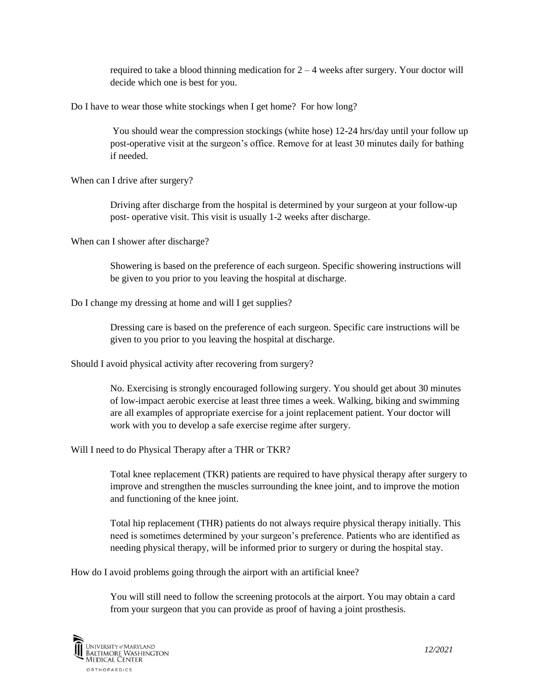required to take a blood thinning medication for  $2 - 4$  weeks after surgery. Your doctor will decide which one is best for you.

Do I have to wear those white stockings when I get home? For how long?

You should wear the compression stockings (white hose) 12-24 hrs/day until your follow up post-operative visit at the surgeon's office. Remove for at least 30 minutes daily for bathing if needed.

When can I drive after surgery?

Driving after discharge from the hospital is determined by your surgeon at your follow-up post- operative visit. This visit is usually 1-2 weeks after discharge.

When can I shower after discharge?

Showering is based on the preference of each surgeon. Specific showering instructions will be given to you prior to you leaving the hospital at discharge.

Do I change my dressing at home and will I get supplies?

Dressing care is based on the preference of each surgeon. Specific care instructions will be given to you prior to you leaving the hospital at discharge.

Should I avoid physical activity after recovering from surgery?

No. Exercising is strongly encouraged following surgery. You should get about 30 minutes of low-impact aerobic exercise at least three times a week. Walking, biking and swimming are all examples of appropriate exercise for a joint replacement patient. Your doctor will work with you to develop a safe exercise regime after surgery.

Will I need to do Physical Therapy after a THR or TKR?

Total knee replacement (TKR) patients are required to have physical therapy after surgery to improve and strengthen the muscles surrounding the knee joint, and to improve the motion and functioning of the knee joint.

Total hip replacement (THR) patients do not always require physical therapy initially. This need is sometimes determined by your surgeon's preference. Patients who are identified as needing physical therapy, will be informed prior to surgery or during the hospital stay.

How do I avoid problems going through the airport with an artificial knee?

You will still need to follow the screening protocols at the airport. You may obtain a card from your surgeon that you can provide as proof of having a joint prosthesis.